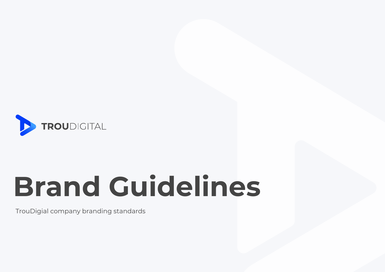

# **Brand Guidelines**

TrouDigial company branding standards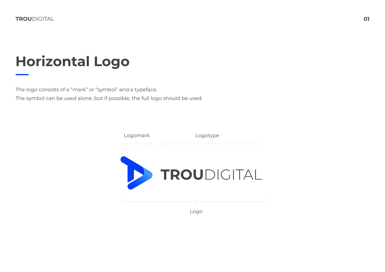# **Horizontal Logo**

The logo consists of a "mark" or "symbol" and a typeface.

The symbol can be used alone, but if possible, the full logo should be used.

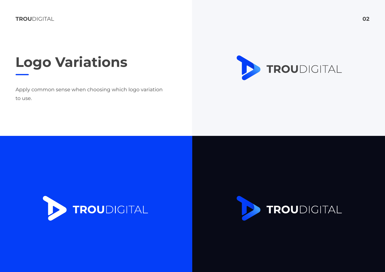# **Logo Variations**

Apply common sense when choosing which logo variation to use.





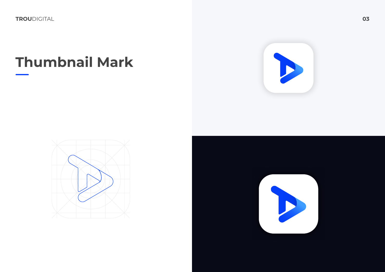# **Thumbnail Mark**





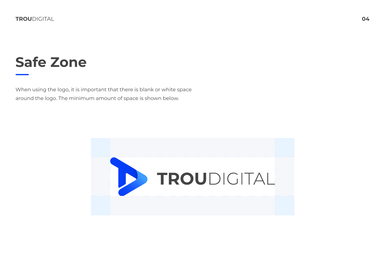## **Safe Zone**

When using the logo, it is important that there is blank or white space around the logo. The minimum amount of space is shown below.

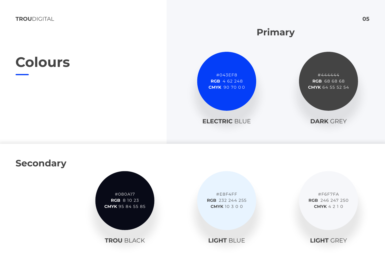## **Colours**



**ELECTRIC** BLUE



**DARK** GREY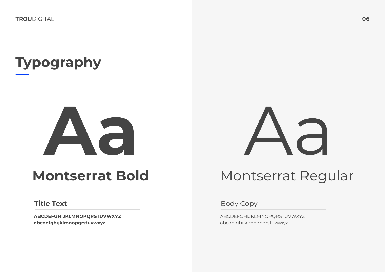# **Typography**

# **Aa**

## **Montserrat Bold**

ABCDEFGHIJKLMNOPQRSTUVWXYZ<br>ABCDEFGHIJKLMNOPQRSTUVWXYZ **abcdefghijklmnopqrstuvwxyz** abcdefghijklmnopqrstuvwxyz



## Montserrat Regular

Title Text **Title Text** Body Copy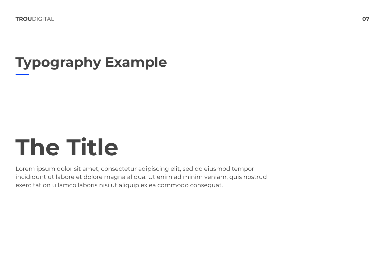# **Typography Example**

# **The Title**

Lorem ipsum dolor sit amet, consectetur adipiscing elit, sed do eiusmod tempor incididunt ut labore et dolore magna aliqua. Ut enim ad minim veniam, quis nostrud exercitation ullamco laboris nisi ut aliquip ex ea commodo consequat.